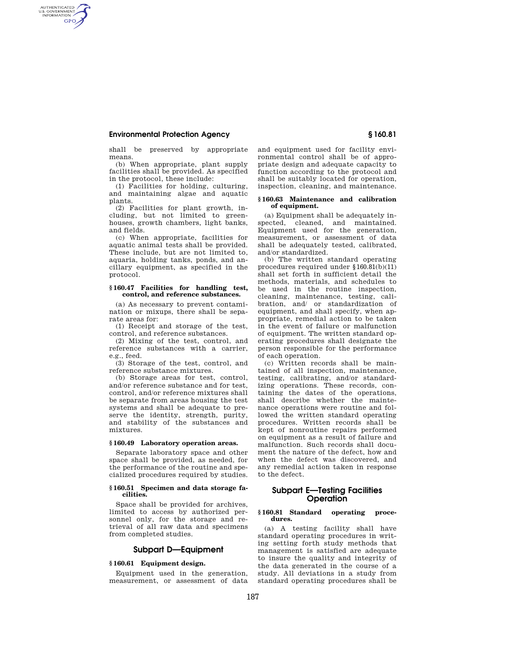## **Environmental Protection Agency § 160.81**

AUTHENTICATED<br>U.S. GOVERNMENT<br>INFORMATION **GPO** 

> shall be preserved by appropriate means.

> (b) When appropriate, plant supply facilities shall be provided. As specified in the protocol, these include:

> (1) Facilities for holding, culturing, and maintaining algae and aquatic plants.

> (2) Facilities for plant growth, including, but not limited to greenhouses, growth chambers, light banks, and fields.

> (c) When appropriate, facilities for aquatic animal tests shall be provided. These include, but are not limited to, aquaria, holding tanks, ponds, and ancillary equipment, as specified in the protocol.

#### **§ 160.47 Facilities for handling test, control, and reference substances.**

(a) As necessary to prevent contamination or mixups, there shall be separate areas for:

(1) Receipt and storage of the test, control, and reference substances.

(2) Mixing of the test, control, and reference substances with a carrier, e.g., feed.

(3) Storage of the test, control, and reference substance mixtures.

(b) Storage areas for test, control, and/or reference substance and for test, control, and/or reference mixtures shall be separate from areas housing the test systems and shall be adequate to preserve the identity, strength, purity, and stability of the substances and mixtures.

## **§ 160.49 Laboratory operation areas.**

Separate laboratory space and other space shall be provided, as needed, for the performance of the routine and specialized procedures required by studies.

#### **§ 160.51 Specimen and data storage facilities.**

Space shall be provided for archives, limited to access by authorized personnel only, for the storage and retrieval of all raw data and specimens from completed studies.

# **Subpart D—Equipment**

## **§ 160.61 Equipment design.**

Equipment used in the generation, measurement, or assessment of data and equipment used for facility environmental control shall be of appropriate design and adequate capacity to function according to the protocol and shall be suitably located for operation, inspection, cleaning, and maintenance.

#### **§ 160.63 Maintenance and calibration of equipment.**

(a) Equipment shall be adequately inspected, cleaned, and maintained. Equipment used for the generation, measurement, or assessment of data shall be adequately tested, calibrated, and/or standardized.

(b) The written standard operating procedures required under §160.81(b)(11) shall set forth in sufficient detail the methods, materials, and schedules to be used in the routine inspection, cleaning, maintenance, testing, calibration, and/ or standardization of equipment, and shall specify, when appropriate, remedial action to be taken in the event of failure or malfunction of equipment. The written standard operating procedures shall designate the person responsible for the performance of each operation.

(c) Written records shall be maintained of all inspection, maintenance, testing, calibrating, and/or standardizing operations. These records, containing the dates of the operations, shall describe whether the maintenance operations were routine and followed the written standard operating procedures. Written records shall be kept of nonroutine repairs performed on equipment as a result of failure and malfunction. Such records shall document the nature of the defect, how and when the defect was discovered, and any remedial action taken in response to the defect.

# **Subpart E—Testing Facilities Operation**

#### **§ 160.81 Standard operating procedures.**

(a) A testing facility shall have standard operating procedures in writing setting forth study methods that management is satisfied are adequate to insure the quality and integrity of the data generated in the course of a study. All deviations in a study from standard operating procedures shall be